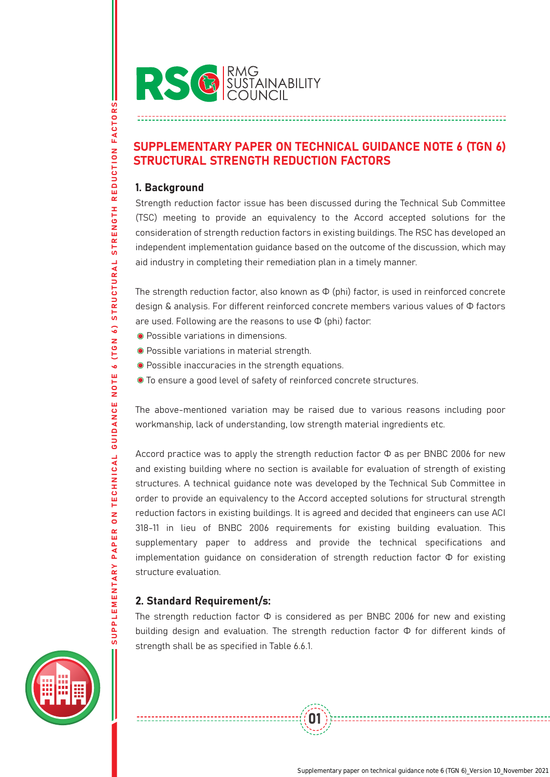

# SUPPLEMENTARY PAPER ON TECHNICAL GUIDANCE NOTE 6 (TGN 6) STRUCTURAL STRENGTH REDUCTION FACTORS

### 1. Background

SUPPLEMENTARY PAPER ON TECHNICAL GUIDANCE NOTE 6 (TGN 6) STRUCTURAL STRENGTH REDUCTION FACTORS

NOTE

TECHNICAL GUIDANCE

 $\frac{8}{10}$ 

PAPER

REDUCTION FACTORS

**STRENGTH** 

STRUCTURAL

 $\ddot{\delta}$ 

**IN 9 T)**  $\ddot{\bullet}$  Strength reduction factor issue has been discussed during the Technical Sub Committee (TSC) meeting to provide an equivalency to the Accord accepted solutions for the consideration of strength reduction factors in existing buildings. The RSC has developed an independent implementation guidance based on the outcome of the discussion, which may aid industry in completing their remediation plan in a timely manner.

The strength reduction factor, also known as  $\Phi$  (phi) factor, is used in reinforced concrete design & analysis. For different reinforced concrete members various values of Φ factors are used. Following are the reasons to use  $\Phi$  (phi) factor:

- Possible variations in dimensions.
- Possible variations in material strength.
- Possible inaccuracies in the strength equations.
- To ensure a good level of safety of reinforced concrete structures.

The above-mentioned variation may be raised due to various reasons including poor workmanship, lack of understanding, low strength material ingredients etc.

Accord practice was to apply the strength reduction factor  $\Phi$  as per BNBC 2006 for new and existing building where no section is available for evaluation of strength of existing structures. A technical guidance note was developed by the Technical Sub Committee in order to provide an equivalency to the Accord accepted solutions for structural strength reduction factors in existing buildings. It is agreed and decided that engineers can use ACI 318-11 in lieu of BNBC 2006 requirements for existing building evaluation. This supplementary paper to address and provide the technical specifications and implementation guidance on consideration of strength reduction factor Φ for existing structure evaluation.

# 2. Standard Requirement/s:

The strength reduction factor  $\Phi$  is considered as per BNBC 2006 for new and existing building design and evaluation. The strength reduction factor Φ for different kinds of strength shall be as specified in Table 6.6.1.

01

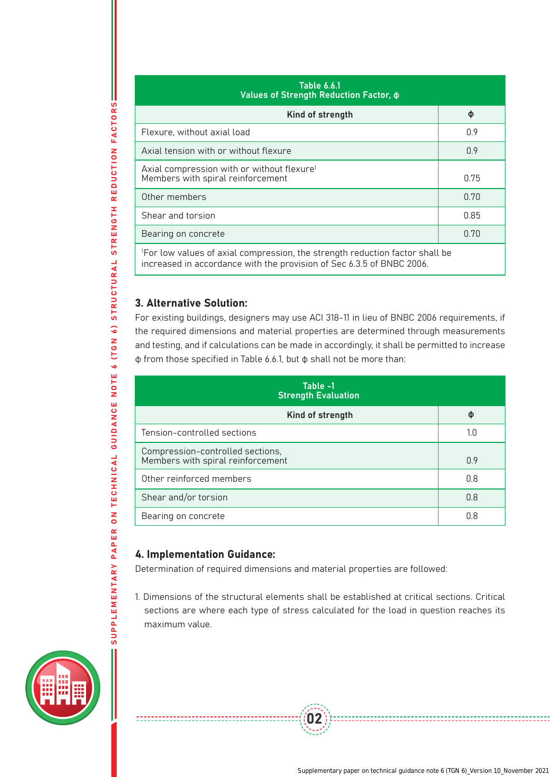| <b>Table 6.6.1</b><br>Values of Strength Reduction Factor, $\phi$                                                                                                 |      |  |
|-------------------------------------------------------------------------------------------------------------------------------------------------------------------|------|--|
| Kind of strength                                                                                                                                                  | Φ    |  |
| Flexure, without axial load                                                                                                                                       | 0.9  |  |
| Axial tension with or without flexure                                                                                                                             | 0.9  |  |
| Axial compression with or without flexure <sup>1</sup><br>Members with spiral reinforcement                                                                       | 0.75 |  |
| Other members                                                                                                                                                     | 0.70 |  |
| Shear and torsion                                                                                                                                                 | 0.85 |  |
| Bearing on concrete                                                                                                                                               | 0.70 |  |
| <sup>1</sup> For low values of axial compression, the strength reduction factor shall be<br>increased in accordance with the provision of Sec 6.3.5 of BNBC 2006. |      |  |

## 3. Alternative Solution:

SUPPLEMENTARY PAPER ON TECHNICAL GUIDANCE NOTE 6 (TGN 6) STRUCTURAL STRENGTH REDUCTION FACTORS

PAPER ON TECHNICAL GUIDANCE NOTE 6

 $\ddot{\bullet}$ 

**ILCM** 

STRUCTURAL STRENGTH REDUCTION FACTORS

For existing buildings, designers may use ACI 318-11 in lieu of BNBC 2006 requirements, if the required dimensions and material properties are determined through measurements and testing, and if calculations can be made in accordingly, it shall be permitted to increase φ from those specified in Table 6.6.1, but φ shall not be more than:

| Table -1<br><b>Strength Evaluation</b>                                |     |
|-----------------------------------------------------------------------|-----|
| Kind of strength                                                      | Φ   |
| Tension-controlled sections                                           | 1.0 |
| Compression-controlled sections,<br>Members with spiral reinforcement | 0.9 |
| Other reinforced members                                              | 0.8 |
| Shear and/or torsion                                                  | 0.8 |
| Bearing on concrete                                                   | 0.8 |

#### 4. Implementation Guidance:

--------------------------

Determination of required dimensions and material properties are followed:

1. Dimensions of the structural elements shall be established at critical sections. Critical sections are where each type of stress calculated for the load in question reaches its maximum value.

02